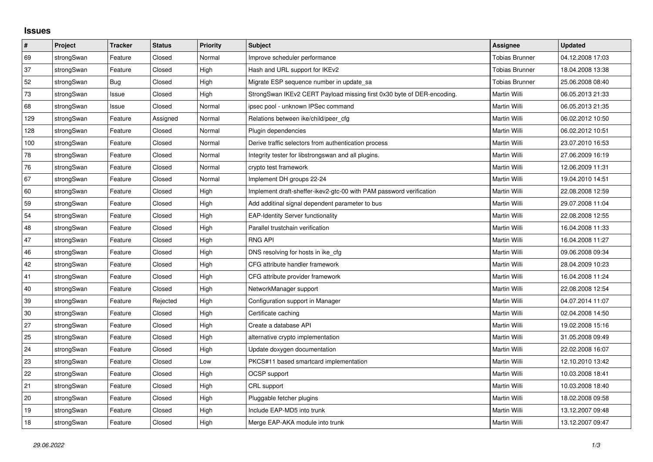## **Issues**

| $\pmb{\#}$ | Project    | <b>Tracker</b> | <b>Status</b> | <b>Priority</b> | <b>Subject</b>                                                         | <b>Assignee</b>       | <b>Updated</b>   |
|------------|------------|----------------|---------------|-----------------|------------------------------------------------------------------------|-----------------------|------------------|
| 69         | strongSwan | Feature        | Closed        | Normal          | Improve scheduler performance                                          | <b>Tobias Brunner</b> | 04.12.2008 17:03 |
| 37         | strongSwan | Feature        | Closed        | High            | Hash and URL support for IKEv2                                         | <b>Tobias Brunner</b> | 18.04.2008 13:38 |
| 52         | strongSwan | Bug            | Closed        | High            | Migrate ESP sequence number in update sa                               | <b>Tobias Brunner</b> | 25.06.2008 08:40 |
| $73\,$     | strongSwan | Issue          | Closed        | High            | StrongSwan IKEv2 CERT Payload missing first 0x30 byte of DER-encoding. | <b>Martin Willi</b>   | 06.05.2013 21:33 |
| 68         | strongSwan | Issue          | Closed        | Normal          | ipsec pool - unknown IPSec command                                     | Martin Willi          | 06.05.2013 21:35 |
| 129        | strongSwan | Feature        | Assigned      | Normal          | Relations between ike/child/peer cfg                                   | Martin Willi          | 06.02.2012 10:50 |
| 128        | strongSwan | Feature        | Closed        | Normal          | Plugin dependencies                                                    | Martin Willi          | 06.02.2012 10:51 |
| 100        | strongSwan | Feature        | Closed        | Normal          | Derive traffic selectors from authentication process                   | Martin Willi          | 23.07.2010 16:53 |
| 78         | strongSwan | Feature        | Closed        | Normal          | Integrity tester for libstrongswan and all plugins.                    | Martin Willi          | 27.06.2009 16:19 |
| 76         | strongSwan | Feature        | Closed        | Normal          | crypto test framework                                                  | Martin Willi          | 12.06.2009 11:31 |
| 67         | strongSwan | Feature        | Closed        | Normal          | Implement DH groups 22-24                                              | Martin Willi          | 19.04.2010 14:51 |
| 60         | strongSwan | Feature        | Closed        | High            | Implement draft-sheffer-ikev2-gtc-00 with PAM password verification    | Martin Willi          | 22.08.2008 12:59 |
| 59         | strongSwan | Feature        | Closed        | High            | Add additinal signal dependent parameter to bus                        | Martin Willi          | 29.07.2008 11:04 |
| 54         | strongSwan | Feature        | Closed        | High            | <b>EAP-Identity Server functionality</b>                               | Martin Willi          | 22.08.2008 12:55 |
| 48         | strongSwan | Feature        | Closed        | High            | Parallel trustchain verification                                       | Martin Willi          | 16.04.2008 11:33 |
| 47         | strongSwan | Feature        | Closed        | High            | <b>RNG API</b>                                                         | Martin Willi          | 16.04.2008 11:27 |
| 46         | strongSwan | Feature        | Closed        | High            | DNS resolving for hosts in ike cfg                                     | Martin Willi          | 09.06.2008 09:34 |
| 42         | strongSwan | Feature        | Closed        | High            | CFG attribute handler framework                                        | Martin Willi          | 28.04.2009 10:23 |
| 41         | strongSwan | Feature        | Closed        | High            | CFG attribute provider framework                                       | Martin Willi          | 16.04.2008 11:24 |
| 40         | strongSwan | Feature        | Closed        | High            | NetworkManager support                                                 | Martin Willi          | 22.08.2008 12:54 |
| 39         | strongSwan | Feature        | Rejected      | High            | Configuration support in Manager                                       | Martin Willi          | 04.07.2014 11:07 |
| 30         | strongSwan | Feature        | Closed        | High            | Certificate caching                                                    | Martin Willi          | 02.04.2008 14:50 |
| 27         | strongSwan | Feature        | Closed        | High            | Create a database API                                                  | Martin Willi          | 19.02.2008 15:16 |
| 25         | strongSwan | Feature        | Closed        | High            | alternative crypto implementation                                      | Martin Willi          | 31.05.2008 09:49 |
| 24         | strongSwan | Feature        | Closed        | High            | Update doxygen documentation                                           | Martin Willi          | 22.02.2008 16:07 |
| 23         | strongSwan | Feature        | Closed        | Low             | PKCS#11 based smartcard implementation                                 | Martin Willi          | 12.10.2010 13:42 |
| 22         | strongSwan | Feature        | Closed        | High            | OCSP support                                                           | Martin Willi          | 10.03.2008 18:41 |
| 21         | strongSwan | Feature        | Closed        | High            | CRL support                                                            | Martin Willi          | 10.03.2008 18:40 |
| 20         | strongSwan | Feature        | Closed        | High            | Pluggable fetcher plugins                                              | Martin Willi          | 18.02.2008 09:58 |
| 19         | strongSwan | Feature        | Closed        | High            | Include EAP-MD5 into trunk                                             | Martin Willi          | 13.12.2007 09:48 |
| 18         | strongSwan | Feature        | Closed        | High            | Merge EAP-AKA module into trunk                                        | Martin Willi          | 13.12.2007 09:47 |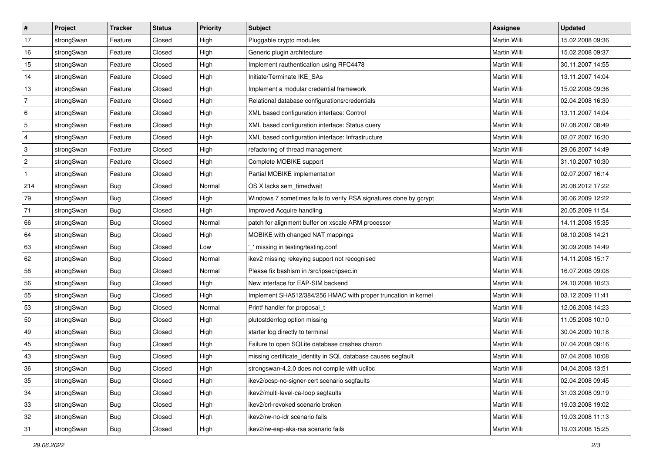| $\sharp$                | Project    | <b>Tracker</b> | <b>Status</b> | Priority | <b>Subject</b>                                                    | <b>Assignee</b> | <b>Updated</b>   |
|-------------------------|------------|----------------|---------------|----------|-------------------------------------------------------------------|-----------------|------------------|
| 17                      | strongSwan | Feature        | Closed        | High     | Pluggable crypto modules                                          | Martin Willi    | 15.02.2008 09:36 |
| 16                      | strongSwan | Feature        | Closed        | High     | Generic plugin architecture                                       | Martin Willi    | 15.02.2008 09:37 |
| 15                      | strongSwan | Feature        | Closed        | High     | Implement rauthentication using RFC4478                           | Martin Willi    | 30.11.2007 14:55 |
| 14                      | strongSwan | Feature        | Closed        | High     | Initiate/Terminate IKE_SAs                                        | Martin Willi    | 13.11.2007 14:04 |
| 13                      | strongSwan | Feature        | Closed        | High     | Implement a modular credential framework                          | Martin Willi    | 15.02.2008 09:36 |
| $\overline{7}$          | strongSwan | Feature        | Closed        | High     | Relational database configurations/credentials                    | Martin Willi    | 02.04.2008 16:30 |
| 6                       | strongSwan | Feature        | Closed        | High     | XML based configuration interface: Control                        | Martin Willi    | 13.11.2007 14:04 |
| $\sqrt{5}$              | strongSwan | Feature        | Closed        | High     | XML based configuration interface: Status query                   | Martin Willi    | 07.08.2007 08:49 |
| $\overline{\mathbf{4}}$ | strongSwan | Feature        | Closed        | High     | XML based configuration interface: Infrastructure                 | Martin Willi    | 02.07.2007 16:30 |
| 3                       | strongSwan | Feature        | Closed        | High     | refactoring of thread management                                  | Martin Willi    | 29.06.2007 14:49 |
| $\sqrt{2}$              | strongSwan | Feature        | Closed        | High     | Complete MOBIKE support                                           | Martin Willi    | 31.10.2007 10:30 |
| $\mathbf{1}$            | strongSwan | Feature        | Closed        | High     | Partial MOBIKE implementation                                     | Martin Willi    | 02.07.2007 16:14 |
| 214                     | strongSwan | Bug            | Closed        | Normal   | OS X lacks sem_timedwait                                          | Martin Willi    | 20.08.2012 17:22 |
| 79                      | strongSwan | Bug            | Closed        | High     | Windows 7 sometimes fails to verify RSA signatures done by gcrypt | Martin Willi    | 30.06.2009 12:22 |
| $71$                    | strongSwan | <b>Bug</b>     | Closed        | High     | Improved Acquire handling                                         | Martin Willi    | 20.05.2009 11:54 |
| 66                      | strongSwan | <b>Bug</b>     | Closed        | Normal   | patch for alignment buffer on xscale ARM processor                | Martin Willi    | 14.11.2008 15:35 |
| 64                      | strongSwan | <b>Bug</b>     | Closed        | High     | MOBIKE with changed NAT mappings                                  | Martin Willi    | 08.10.2008 14:21 |
| 63                      | strongSwan | <b>Bug</b>     | Closed        | Low      | " missing in testing/testing.conf                                 | Martin Willi    | 30.09.2008 14:49 |
| 62                      | strongSwan | Bug            | Closed        | Normal   | ikev2 missing rekeying support not recognised                     | Martin Willi    | 14.11.2008 15:17 |
| 58                      | strongSwan | <b>Bug</b>     | Closed        | Normal   | Please fix bashism in /src/ipsec/ipsec.in                         | Martin Willi    | 16.07.2008 09:08 |
| 56                      | strongSwan | Bug            | Closed        | High     | New interface for EAP-SIM backend                                 | Martin Willi    | 24.10.2008 10:23 |
| 55                      | strongSwan | <b>Bug</b>     | Closed        | High     | Implement SHA512/384/256 HMAC with proper truncation in kernel    | Martin Willi    | 03.12.2009 11:41 |
| 53                      | strongSwan | <b>Bug</b>     | Closed        | Normal   | Printf handler for proposal_t                                     | Martin Willi    | 12.06.2008 14:23 |
| 50                      | strongSwan | Bug            | Closed        | High     | plutostderrlog option missing                                     | Martin Willi    | 11.05.2008 10:10 |
| 49                      | strongSwan | Bug            | Closed        | High     | starter log directly to terminal                                  | Martin Willi    | 30.04.2009 10:18 |
| 45                      | strongSwan | <b>Bug</b>     | Closed        | High     | Failure to open SQLite database crashes charon                    | Martin Willi    | 07.04.2008 09:16 |
| 43                      | strongSwan | <b>Bug</b>     | Closed        | High     | missing certificate identity in SQL database causes segfault      | Martin Willi    | 07.04.2008 10:08 |
| 36                      | strongSwan | <b>Bug</b>     | Closed        | High     | strongswan-4.2.0 does not compile with uclibc                     | Martin Willi    | 04.04.2008 13:51 |
| 35                      | strongSwan | Bug            | Closed        | High     | ikev2/ocsp-no-signer-cert scenario segfaults                      | Martin Willi    | 02.04.2008 09:45 |
| 34                      | strongSwan | Bug            | Closed        | High     | ikev2/multi-level-ca-loop segfaults                               | Martin Willi    | 31.03.2008 09:19 |
| 33                      | strongSwan | <b>Bug</b>     | Closed        | High     | ikev2/crl-revoked scenario broken                                 | Martin Willi    | 19.03.2008 19:02 |
| 32                      | strongSwan | Bug            | Closed        | High     | ikev2/rw-no-idr scenario fails                                    | Martin Willi    | 19.03.2008 11:13 |
| 31                      | strongSwan | Bug            | Closed        | High     | ikev2/rw-eap-aka-rsa scenario fails                               | Martin Willi    | 19.03.2008 15:25 |